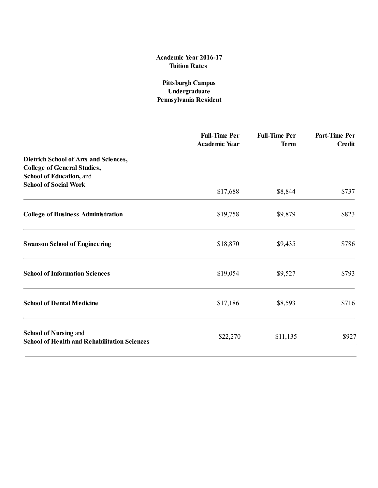# Pittsburgh Campus Undergraduate Pennsylvania Resident

|                                                                                                         | <b>Full-Time Per</b><br><b>Academic Year</b> | <b>Full-Time Per</b><br><b>Term</b> | Part-Time Per<br><b>Credit</b> |
|---------------------------------------------------------------------------------------------------------|----------------------------------------------|-------------------------------------|--------------------------------|
| Dietrich School of Arts and Sciences,<br><b>College of General Studies,</b><br>School of Education, and |                                              |                                     |                                |
| <b>School of Social Work</b>                                                                            | \$17,688                                     | \$8,844                             | \$737                          |
| <b>College of Business Administration</b>                                                               | \$19,758                                     | \$9,879                             | \$823                          |
| <b>Swanson School of Engineering</b>                                                                    | \$18,870                                     | \$9,435                             | \$786                          |
| <b>School of Information Sciences</b>                                                                   | \$19,054                                     | \$9,527                             | \$793                          |
| <b>School of Dental Medicine</b>                                                                        | \$17,186                                     | \$8,593                             | \$716                          |
| <b>School of Nursing and</b><br><b>School of Health and Rehabilitation Sciences</b>                     | \$22,270                                     | \$11,135                            | \$927                          |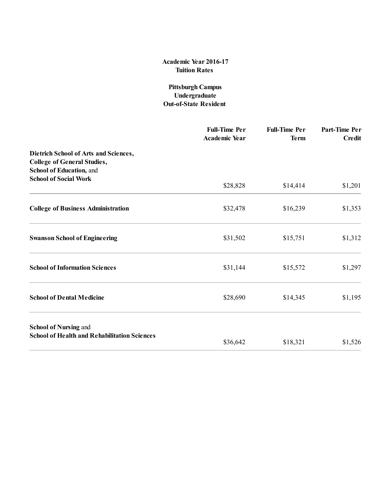## Pittsburgh Campus Undergraduate Out-of-State Resident

|                                                                                                         | <b>Full-Time Per</b><br><b>Academic Year</b> | <b>Full-Time Per</b><br><b>Term</b> | Part-Time Per<br><b>Credit</b> |
|---------------------------------------------------------------------------------------------------------|----------------------------------------------|-------------------------------------|--------------------------------|
| Dietrich School of Arts and Sciences,<br><b>College of General Studies,</b><br>School of Education, and |                                              |                                     |                                |
| <b>School of Social Work</b>                                                                            | \$28,828                                     | \$14,414                            | \$1,201                        |
| <b>College of Business Administration</b>                                                               | \$32,478                                     | \$16,239                            | \$1,353                        |
| <b>Swanson School of Engineering</b>                                                                    | \$31,502                                     | \$15,751                            | \$1,312                        |
| <b>School of Information Sciences</b>                                                                   | \$31,144                                     | \$15,572                            | \$1,297                        |
| <b>School of Dental Medicine</b>                                                                        | \$28,690                                     | \$14,345                            | \$1,195                        |
| <b>School of Nursing and</b>                                                                            |                                              |                                     |                                |
| <b>School of Health and Rehabilitation Sciences</b>                                                     | \$36,642                                     | \$18,321                            | \$1,526                        |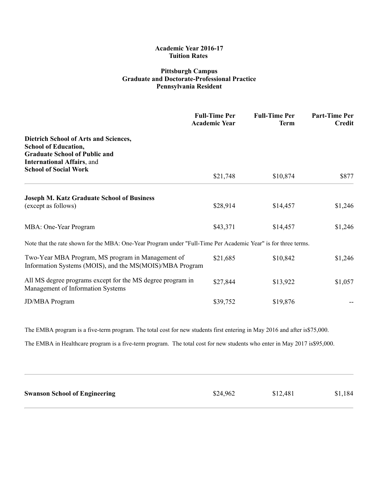### Pittsburgh Campus Graduate and Doctorate-Professional Practice Pennsylvania Resident

|                                                                                                                                                   | <b>Full-Time Per</b><br><b>Academic Year</b> | <b>Full-Time Per</b><br><b>Term</b> | <b>Part-Time Per</b><br><b>Credit</b> |
|---------------------------------------------------------------------------------------------------------------------------------------------------|----------------------------------------------|-------------------------------------|---------------------------------------|
| Dietrich School of Arts and Sciences,<br><b>School of Education,</b><br><b>Graduate School of Public and</b><br><b>International Affairs, and</b> |                                              |                                     |                                       |
| <b>School of Social Work</b>                                                                                                                      | \$21,748                                     | \$10,874                            | \$877                                 |
| <b>Joseph M. Katz Graduate School of Business</b><br>(except as follows)                                                                          | \$28,914                                     | \$14,457                            | \$1,246                               |
| MBA: One-Year Program                                                                                                                             | \$43,371                                     | \$14,457                            | \$1,246                               |
| Note that the rate shown for the MBA: One-Year Program under "Full-Time Per Academic Year" is for three terms.                                    |                                              |                                     |                                       |
| Two-Year MBA Program, MS program in Management of<br>Information Systems (MOIS), and the MS(MOIS)/MBA Program                                     | \$21,685                                     | \$10,842                            | \$1,246                               |
| All MS degree programs except for the MS degree program in<br>Management of Information Systems                                                   | \$27,844                                     | \$13,922                            | \$1,057                               |
| <b>JD/MBA</b> Program                                                                                                                             | \$39,752                                     | \$19,876                            |                                       |

The EMBA program is a five-term program. The total cost for new students first entering in May 2016 and after is \$75,000.

The EMBA in Healthcare program is a five-term program. The total cost for new students who enter in May 2017 is \$95,000.

| <b>Swanson School of Engineering</b> | \$24,962 | \$12,481 | \$1,184 |
|--------------------------------------|----------|----------|---------|
|                                      |          |          |         |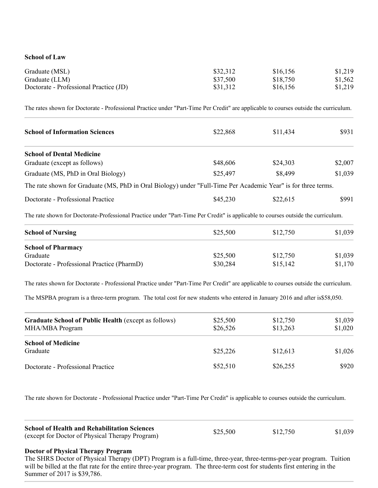#### School of Law

| Graduate (MSL)                         | \$32,312 | \$16,156 | \$1,219 |
|----------------------------------------|----------|----------|---------|
| Graduate (LLM)                         | \$37,500 | \$18,750 | \$1,562 |
| Doctorate - Professional Practice (JD) | \$31,312 | \$16,156 | \$1,219 |

The rates shown for Doctorate - Professional Practice under "Part-Time Per Credit" are applicable to courses outside the curriculum.

| <b>School of Information Sciences</b>                                                                         | \$22,868 | \$11,434 | \$931   |
|---------------------------------------------------------------------------------------------------------------|----------|----------|---------|
| <b>School of Dental Medicine</b>                                                                              |          |          |         |
| Graduate (except as follows)                                                                                  | \$48,606 | \$24,303 | \$2,007 |
| Graduate (MS, PhD in Oral Biology)                                                                            | \$25,497 | \$8,499  | \$1,039 |
| The rate shown for Graduate (MS, PhD in Oral Biology) under "Full-Time Per Academic Year" is for three terms. |          |          |         |
| Doctorate - Professional Practice                                                                             | \$45,230 | \$22,615 | \$991   |

The rate shown for Doctorate-Professional Practice under "Part-Time Per Credit" is applicable to courses outside the curriculum.

| <b>School of Nursing</b>                   | \$25,500 | \$12,750 | \$1,039 |
|--------------------------------------------|----------|----------|---------|
| <b>School of Pharmacy</b>                  |          |          |         |
| Graduate                                   | \$25,500 | \$12,750 | \$1,039 |
| Doctorate - Professional Practice (PharmD) | \$30,284 | \$15,142 | \$1,170 |

The rates shown for Doctorate - Professional Practice under "Part-Time Per Credit" are applicable to courses outside the curriculum.

The MSPBA program is a three-term program. The total cost for new students who entered in January 2016 and after is\$58,050.

| <b>Graduate School of Public Health (except as follows)</b><br>MHA/MBA Program | \$25,500<br>\$26,526 | \$12,750<br>\$13,263 | \$1,039<br>\$1,020 |
|--------------------------------------------------------------------------------|----------------------|----------------------|--------------------|
| <b>School of Medicine</b><br>Graduate                                          | \$25,226             | \$12,613             | \$1,026            |
| Doctorate - Professional Practice                                              | \$52,510             | \$26,255             | \$920              |

The rate shown for Doctorate - Professional Practice under "Part-Time Per Credit" is applicable to courses outside the curriculum.

| <b>School of Health and Rehabilitation Sciences</b> | \$25,500 |          | \$1,039 |
|-----------------------------------------------------|----------|----------|---------|
| (except for Doctor of Physical Therapy Program)     |          | \$12,750 |         |

#### Doctor of Physical Therapy Program

The SHRS Doctor of Physical Therapy (DPT) Program is a full-time, three-year, three-terms-per-year program. Tuition will be billed at the flat rate for the entire three-year program. The three-term cost for students first entering in the Summer of 2017 is \$39,786.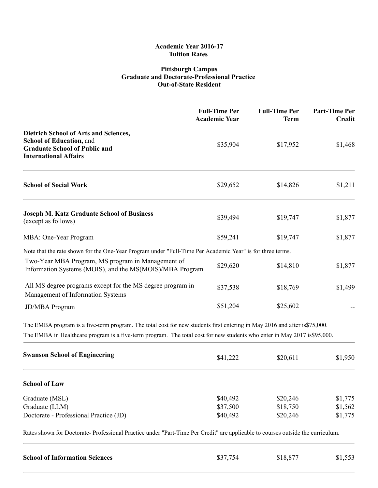### Pittsburgh Campus Graduate and Doctorate-Professional Practice **Out-of-State Resident**

|                                                                                                                                                  | <b>Full-Time Per</b><br><b>Academic Year</b> | <b>Full-Time Per</b><br><b>Term</b> | <b>Part-Time Per</b><br><b>Credit</b> |
|--------------------------------------------------------------------------------------------------------------------------------------------------|----------------------------------------------|-------------------------------------|---------------------------------------|
| Dietrich School of Arts and Sciences,<br><b>School of Education, and</b><br><b>Graduate School of Public and</b><br><b>International Affairs</b> | \$35,904                                     | \$17,952                            | \$1,468                               |
| <b>School of Social Work</b>                                                                                                                     | \$29,652                                     | \$14,826                            | \$1,211                               |
| <b>Joseph M. Katz Graduate School of Business</b><br>(except as follows)                                                                         | \$39,494                                     | \$19,747                            | \$1,877                               |
| MBA: One-Year Program                                                                                                                            | \$59,241                                     | \$19,747                            | \$1,877                               |
| Note that the rate shown for the One-Year Program under "Full-Time Per Academic Year" is for three terms.                                        |                                              |                                     |                                       |
| Two-Year MBA Program, MS program in Management of<br>Information Systems (MOIS), and the MS(MOIS)/MBA Program                                    | \$29,620                                     | \$14,810                            | \$1,877                               |
| All MS degree programs except for the MS degree program in<br>Management of Information Systems                                                  | \$37,538                                     | \$18,769                            | \$1,499                               |
| <b>JD/MBA Program</b>                                                                                                                            | \$51,204                                     | \$25,602                            |                                       |

The EMBA program is a five-term program. The total cost for new students first entering in May 2016 and after is\$75,000. The EMBA in Healthcare program is a five-term program. The total cost for new students who enter in May 2017 is\$95,000.

| <b>Swanson School of Engineering</b>   | \$41,222 | \$20,611 | \$1,950 |
|----------------------------------------|----------|----------|---------|
| <b>School of Law</b>                   |          |          |         |
| Graduate (MSL)                         | \$40,492 | \$20,246 | \$1,775 |
| Graduate (LLM)                         | \$37,500 | \$18,750 | \$1,562 |
| Doctorate - Professional Practice (JD) | \$40,492 | \$20,246 | \$1,775 |

Rates shown for Doctorate-Professional Practice under "Part-Time Per Credit" are applicable to courses outside the curriculum.

| <b>School of Information Sciences</b> | \$37,754 | \$18,877 | \$1,553 |
|---------------------------------------|----------|----------|---------|
|                                       |          |          |         |